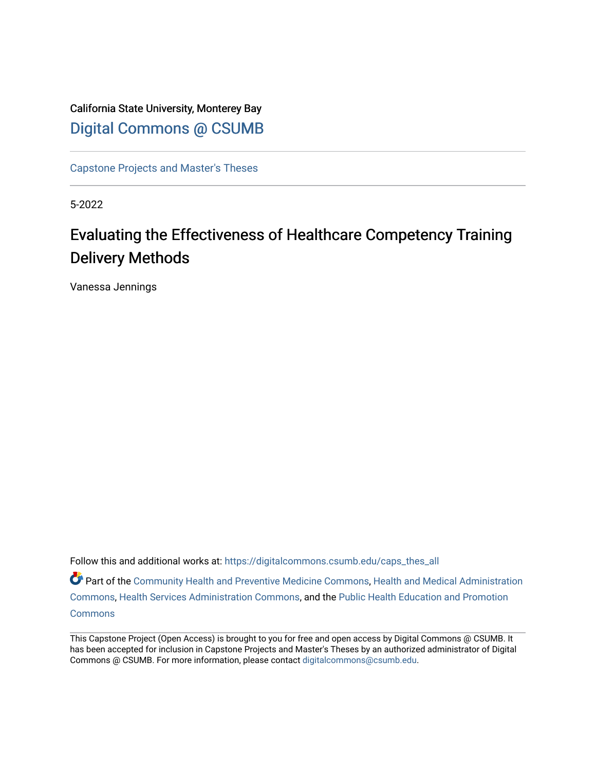California State University, Monterey Bay [Digital Commons @ CSUMB](https://digitalcommons.csumb.edu/)

[Capstone Projects and Master's Theses](https://digitalcommons.csumb.edu/caps_thes_all)

5-2022

# Evaluating the Effectiveness of Healthcare Competency Training Delivery Methods

Vanessa Jennings

Follow this and additional works at: [https://digitalcommons.csumb.edu/caps\\_thes\\_all](https://digitalcommons.csumb.edu/caps_thes_all?utm_source=digitalcommons.csumb.edu%2Fcaps_thes_all%2F1258&utm_medium=PDF&utm_campaign=PDFCoverPages) Part of the [Community Health and Preventive Medicine Commons](https://network.bepress.com/hgg/discipline/744?utm_source=digitalcommons.csumb.edu%2Fcaps_thes_all%2F1258&utm_medium=PDF&utm_campaign=PDFCoverPages), [Health and Medical Administration](https://network.bepress.com/hgg/discipline/663?utm_source=digitalcommons.csumb.edu%2Fcaps_thes_all%2F1258&utm_medium=PDF&utm_campaign=PDFCoverPages) [Commons](https://network.bepress.com/hgg/discipline/663?utm_source=digitalcommons.csumb.edu%2Fcaps_thes_all%2F1258&utm_medium=PDF&utm_campaign=PDFCoverPages), [Health Services Administration Commons](https://network.bepress.com/hgg/discipline/747?utm_source=digitalcommons.csumb.edu%2Fcaps_thes_all%2F1258&utm_medium=PDF&utm_campaign=PDFCoverPages), and the [Public Health Education and Promotion](https://network.bepress.com/hgg/discipline/743?utm_source=digitalcommons.csumb.edu%2Fcaps_thes_all%2F1258&utm_medium=PDF&utm_campaign=PDFCoverPages) **[Commons](https://network.bepress.com/hgg/discipline/743?utm_source=digitalcommons.csumb.edu%2Fcaps_thes_all%2F1258&utm_medium=PDF&utm_campaign=PDFCoverPages)** 

This Capstone Project (Open Access) is brought to you for free and open access by Digital Commons @ CSUMB. It has been accepted for inclusion in Capstone Projects and Master's Theses by an authorized administrator of Digital Commons @ CSUMB. For more information, please contact [digitalcommons@csumb.edu](mailto:digitalcommons@csumb.edu).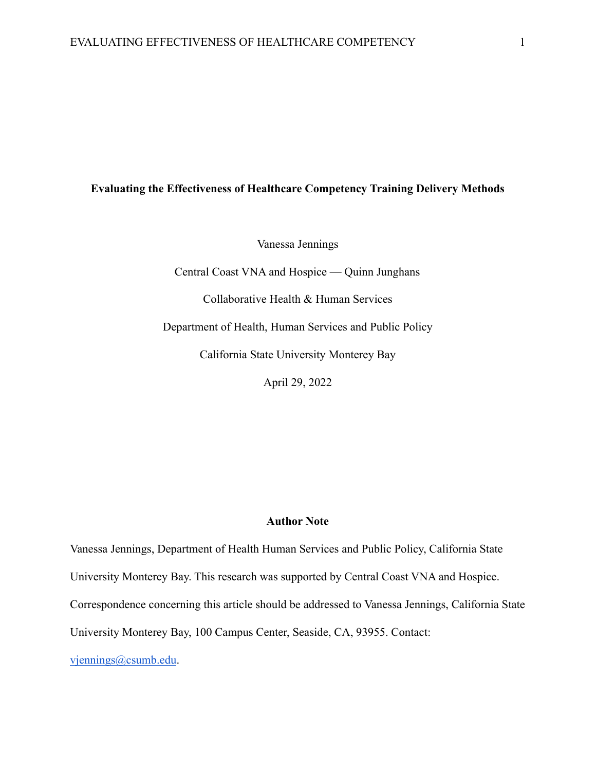# **Evaluating the Effectiveness of Healthcare Competency Training Delivery Methods**

Vanessa Jennings

Central Coast VNA and Hospice — Quinn Junghans

Collaborative Health & Human Services

Department of Health, Human Services and Public Policy

California State University Monterey Bay

April 29, 2022

# **Author Note**

Vanessa Jennings, Department of Health Human Services and Public Policy, California State University Monterey Bay. This research was supported by Central Coast VNA and Hospice. Correspondence concerning this article should be addressed to Vanessa Jennings, California State University Monterey Bay, 100 Campus Center, Seaside, CA, 93955. Contact: [vjennings@csumb.edu](mailto:vjennings@csumb.edu).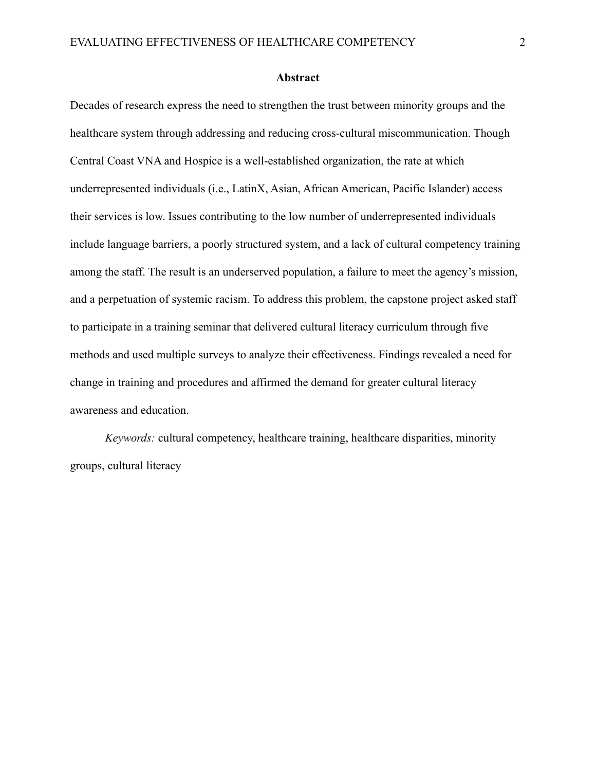#### **Abstract**

Decades of research express the need to strengthen the trust between minority groups and the healthcare system through addressing and reducing cross-cultural miscommunication. Though Central Coast VNA and Hospice is a well-established organization, the rate at which underrepresented individuals (i.e., LatinX, Asian, African American, Pacific Islander) access their services is low. Issues contributing to the low number of underrepresented individuals include language barriers, a poorly structured system, and a lack of cultural competency training among the staff. The result is an underserved population, a failure to meet the agency's mission, and a perpetuation of systemic racism. To address this problem, the capstone project asked staff to participate in a training seminar that delivered cultural literacy curriculum through five methods and used multiple surveys to analyze their effectiveness. Findings revealed a need for change in training and procedures and affirmed the demand for greater cultural literacy awareness and education.

*Keywords:* cultural competency, healthcare training, healthcare disparities, minority groups, cultural literacy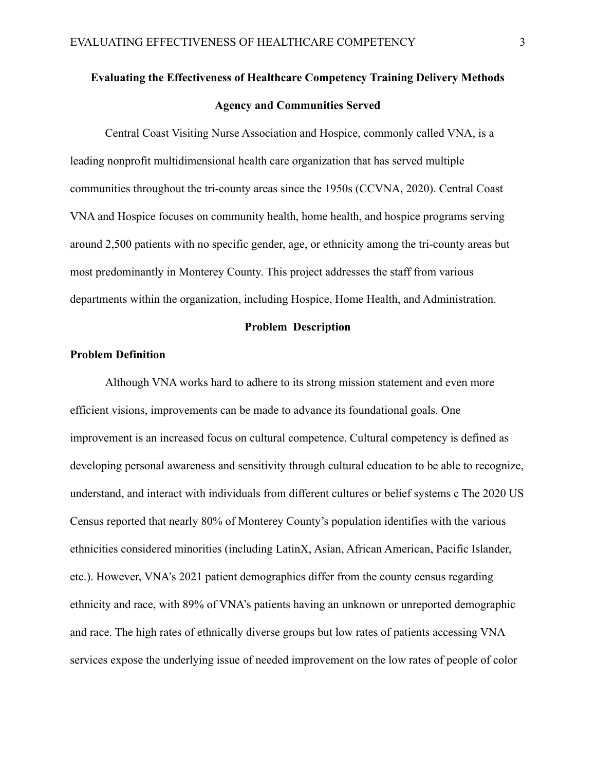# **Evaluating the Effectiveness of Healthcare Competency Training Delivery Methods Agency and Communities Served**

Central Coast Visiting Nurse Association and Hospice, commonly called VNA, is a leading nonprofit multidimensional health care organization that has served multiple communities throughout the tri-county areas since the 1950s (CCVNA, 2020). Central Coast VNA and Hospice focuses on community health, home health, and hospice programs serving around 2,500 patients with no specific gender, age, or ethnicity among the tri-county areas but most predominantly in Monterey County. This project addresses the staff from various departments within the organization, including Hospice, Home Health, and Administration.

# **Problem Description**

# **Problem Definition**

Although VNA works hard to adhere to its strong mission statement and even more efficient visions, improvements can be made to advance its foundational goals. One improvement is an increased focus on cultural competence. Cultural competency is defined as developing personal awareness and sensitivity through cultural education to be able to recognize, understand, and interact with individuals from different cultures or belief systems c The 2020 US Census reported that nearly 80% of Monterey County's population identifies with the various ethnicities considered minorities (including LatinX, Asian, African American, Pacific Islander, etc.). However, VNA's 2021 patient demographics differ from the county census regarding ethnicity and race, with 89% of VNA's patients having an unknown or unreported demographic and race. The high rates of ethnically diverse groups but low rates of patients accessing VNA services expose the underlying issue of needed improvement on the low rates of people of color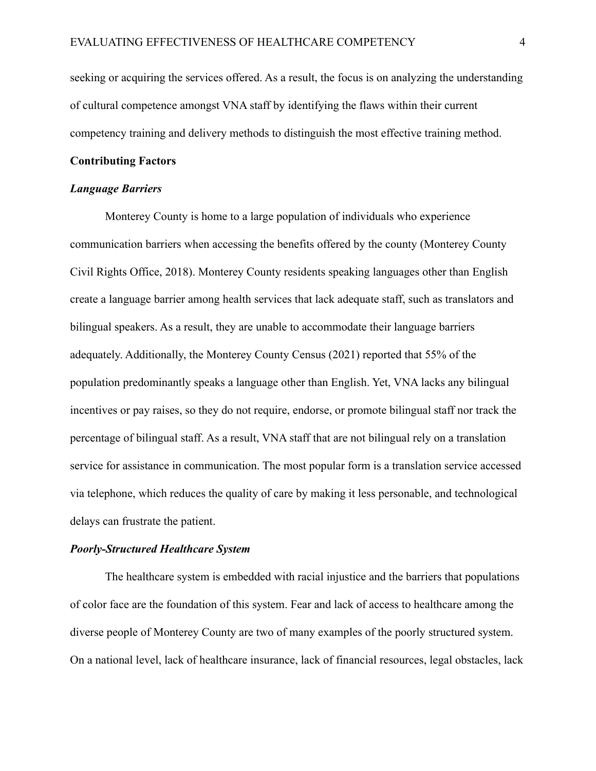seeking or acquiring the services offered. As a result, the focus is on analyzing the understanding of cultural competence amongst VNA staff by identifying the flaws within their current competency training and delivery methods to distinguish the most effective training method.

# **Contributing Factors**

# *Language Barriers*

Monterey County is home to a large population of individuals who experience communication barriers when accessing the benefits offered by the county (Monterey County Civil Rights Office, 2018). Monterey County residents speaking languages other than English create a language barrier among health services that lack adequate staff, such as translators and bilingual speakers. As a result, they are unable to accommodate their language barriers adequately. Additionally, the Monterey County Census (2021) reported that 55% of the population predominantly speaks a language other than English. Yet, VNA lacks any bilingual incentives or pay raises, so they do not require, endorse, or promote bilingual staff nor track the percentage of bilingual staff. As a result, VNA staff that are not bilingual rely on a translation service for assistance in communication. The most popular form is a translation service accessed via telephone, which reduces the quality of care by making it less personable, and technological delays can frustrate the patient.

### *Poorly-Structured Healthcare System*

The healthcare system is embedded with racial injustice and the barriers that populations of color face are the foundation of this system. Fear and lack of access to healthcare among the diverse people of Monterey County are two of many examples of the poorly structured system. On a national level, lack of healthcare insurance, lack of financial resources, legal obstacles, lack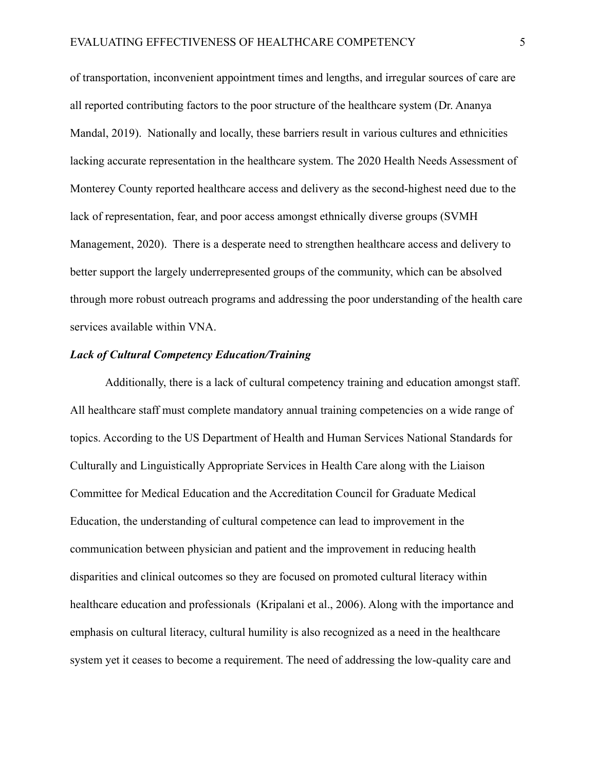of transportation, inconvenient appointment times and lengths, and irregular sources of care are all reported contributing factors to the poor structure of the healthcare system (Dr. Ananya Mandal, 2019). Nationally and locally, these barriers result in various cultures and ethnicities lacking accurate representation in the healthcare system. The 2020 Health Needs Assessment of Monterey County reported healthcare access and delivery as the second-highest need due to the lack of representation, fear, and poor access amongst ethnically diverse groups (SVMH Management, 2020). There is a desperate need to strengthen healthcare access and delivery to better support the largely underrepresented groups of the community, which can be absolved through more robust outreach programs and addressing the poor understanding of the health care services available within VNA.

# *Lack of Cultural Competency Education/Training*

Additionally, there is a lack of cultural competency training and education amongst staff. All healthcare staff must complete mandatory annual training competencies on a wide range of topics. According to the US Department of Health and Human Services National Standards for Culturally and Linguistically Appropriate Services in Health Care along with the Liaison Committee for Medical Education and the Accreditation Council for Graduate Medical Education, the understanding of cultural competence can lead to improvement in the communication between physician and patient and the improvement in reducing health disparities and clinical outcomes so they are focused on promoted cultural literacy within healthcare education and professionals (Kripalani et al., 2006). Along with the importance and emphasis on cultural literacy, cultural humility is also recognized as a need in the healthcare system yet it ceases to become a requirement. The need of addressing the low-quality care and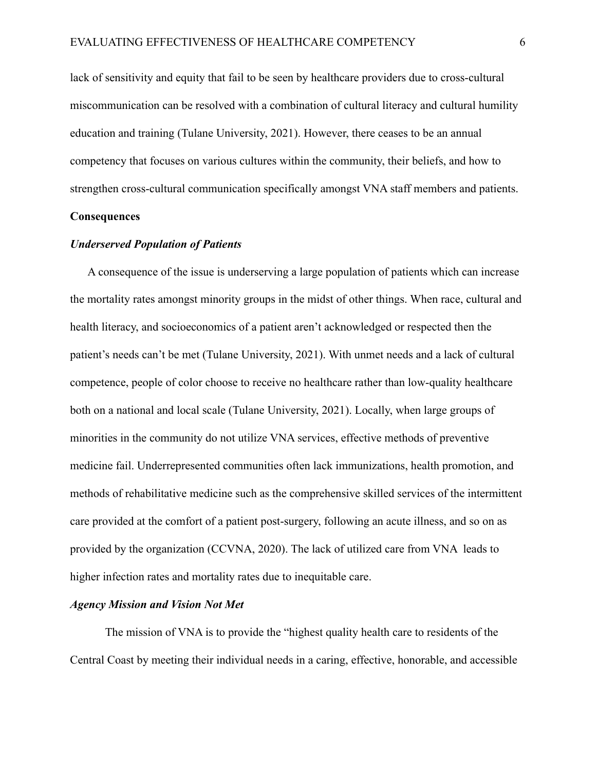lack of sensitivity and equity that fail to be seen by healthcare providers due to cross-cultural miscommunication can be resolved with a combination of cultural literacy and cultural humility education and training (Tulane University, 2021). However, there ceases to be an annual competency that focuses on various cultures within the community, their beliefs, and how to strengthen cross-cultural communication specifically amongst VNA staff members and patients.

#### **Consequences**

## *Underserved Population of Patients*

A consequence of the issue is underserving a large population of patients which can increase the mortality rates amongst minority groups in the midst of other things. When race, cultural and health literacy, and socioeconomics of a patient aren't acknowledged or respected then the patient's needs can't be met (Tulane University, 2021). With unmet needs and a lack of cultural competence, people of color choose to receive no healthcare rather than low-quality healthcare both on a national and local scale (Tulane University, 2021). Locally, when large groups of minorities in the community do not utilize VNA services, effective methods of preventive medicine fail. Underrepresented communities often lack immunizations, health promotion, and methods of rehabilitative medicine such as the comprehensive skilled services of the intermittent care provided at the comfort of a patient post-surgery, following an acute illness, and so on as provided by the organization (CCVNA, 2020). The lack of utilized care from VNA leads to higher infection rates and mortality rates due to inequitable care.

#### *Agency Mission and Vision Not Met*

The mission of VNA is to provide the "highest quality health care to residents of the Central Coast by meeting their individual needs in a caring, effective, honorable, and accessible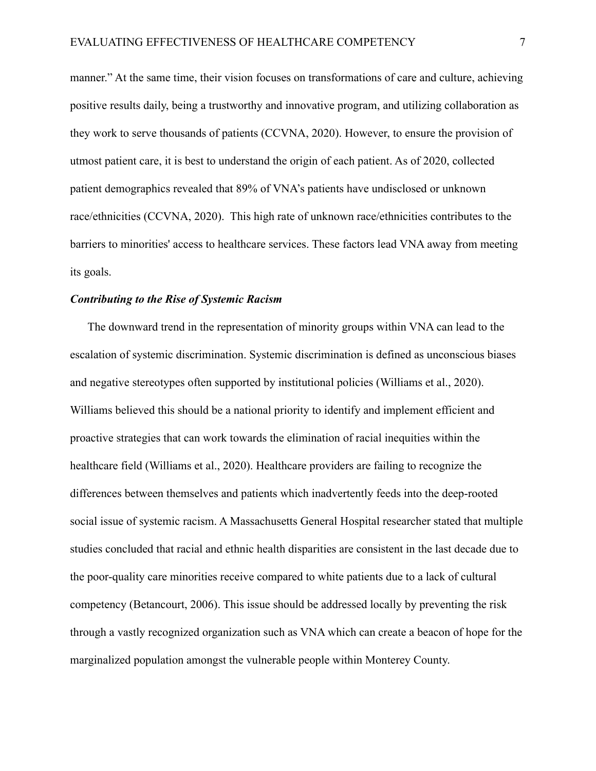manner." At the same time, their vision focuses on transformations of care and culture, achieving positive results daily, being a trustworthy and innovative program, and utilizing collaboration as they work to serve thousands of patients (CCVNA, 2020). However, to ensure the provision of utmost patient care, it is best to understand the origin of each patient. As of 2020, collected patient demographics revealed that 89% of VNA's patients have undisclosed or unknown race/ethnicities (CCVNA, 2020). This high rate of unknown race/ethnicities contributes to the barriers to minorities' access to healthcare services. These factors lead VNA away from meeting its goals.

#### *Contributing to the Rise of Systemic Racism*

The downward trend in the representation of minority groups within VNA can lead to the escalation of systemic discrimination. Systemic discrimination is defined as unconscious biases and negative stereotypes often supported by institutional policies (Williams et al., 2020). Williams believed this should be a national priority to identify and implement efficient and proactive strategies that can work towards the elimination of racial inequities within the healthcare field (Williams et al., 2020). Healthcare providers are failing to recognize the differences between themselves and patients which inadvertently feeds into the deep-rooted social issue of systemic racism. A Massachusetts General Hospital researcher stated that multiple studies concluded that racial and ethnic health disparities are consistent in the last decade due to the poor-quality care minorities receive compared to white patients due to a lack of cultural competency (Betancourt, 2006). This issue should be addressed locally by preventing the risk through a vastly recognized organization such as VNA which can create a beacon of hope for the marginalized population amongst the vulnerable people within Monterey County.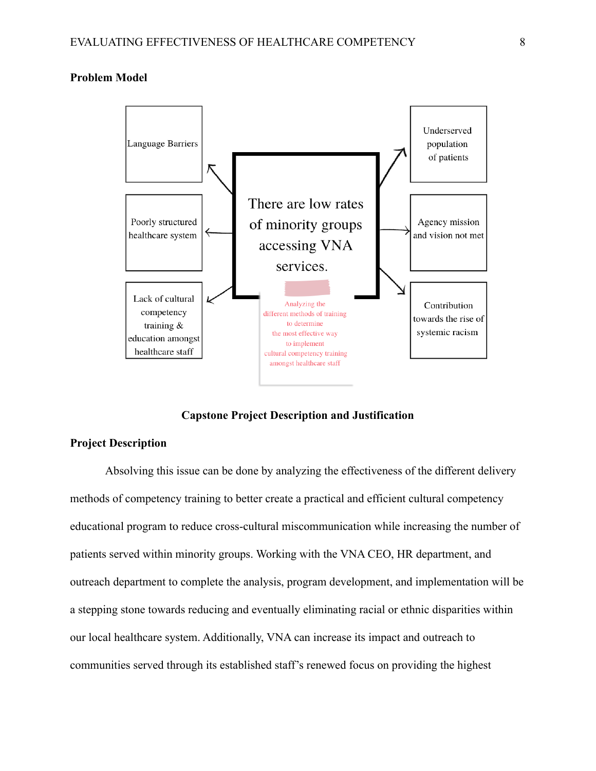## **Problem Model**



**Capstone Project Description and Justification**

#### **Project Description**

Absolving this issue can be done by analyzing the effectiveness of the different delivery methods of competency training to better create a practical and efficient cultural competency educational program to reduce cross-cultural miscommunication while increasing the number of patients served within minority groups. Working with the VNA CEO, HR department, and outreach department to complete the analysis, program development, and implementation will be a stepping stone towards reducing and eventually eliminating racial or ethnic disparities within our local healthcare system. Additionally, VNA can increase its impact and outreach to communities served through its established staff's renewed focus on providing the highest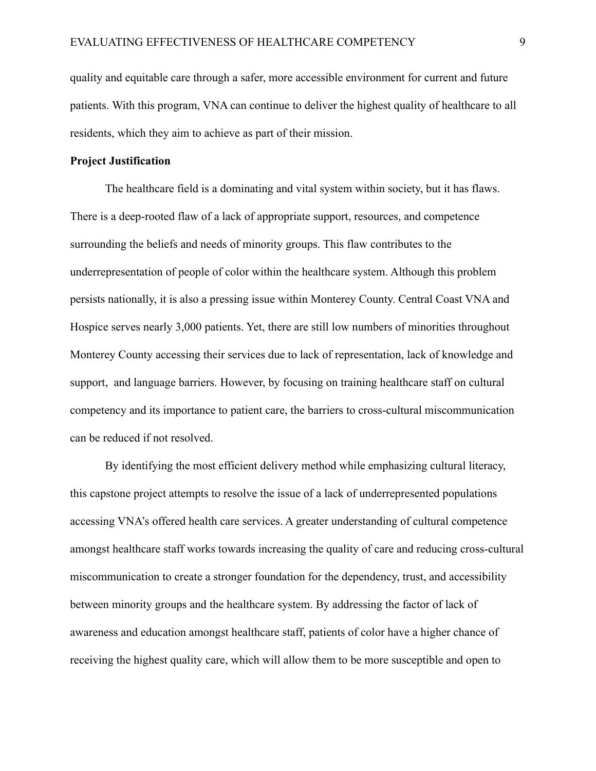quality and equitable care through a safer, more accessible environment for current and future patients. With this program, VNA can continue to deliver the highest quality of healthcare to all residents, which they aim to achieve as part of their mission.

# **Project Justification**

The healthcare field is a dominating and vital system within society, but it has flaws. There is a deep-rooted flaw of a lack of appropriate support, resources, and competence surrounding the beliefs and needs of minority groups. This flaw contributes to the underrepresentation of people of color within the healthcare system. Although this problem persists nationally, it is also a pressing issue within Monterey County. Central Coast VNA and Hospice serves nearly 3,000 patients. Yet, there are still low numbers of minorities throughout Monterey County accessing their services due to lack of representation, lack of knowledge and support, and language barriers. However, by focusing on training healthcare staff on cultural competency and its importance to patient care, the barriers to cross-cultural miscommunication can be reduced if not resolved.

By identifying the most efficient delivery method while emphasizing cultural literacy, this capstone project attempts to resolve the issue of a lack of underrepresented populations accessing VNA's offered health care services. A greater understanding of cultural competence amongst healthcare staff works towards increasing the quality of care and reducing cross-cultural miscommunication to create a stronger foundation for the dependency, trust, and accessibility between minority groups and the healthcare system. By addressing the factor of lack of awareness and education amongst healthcare staff, patients of color have a higher chance of receiving the highest quality care, which will allow them to be more susceptible and open to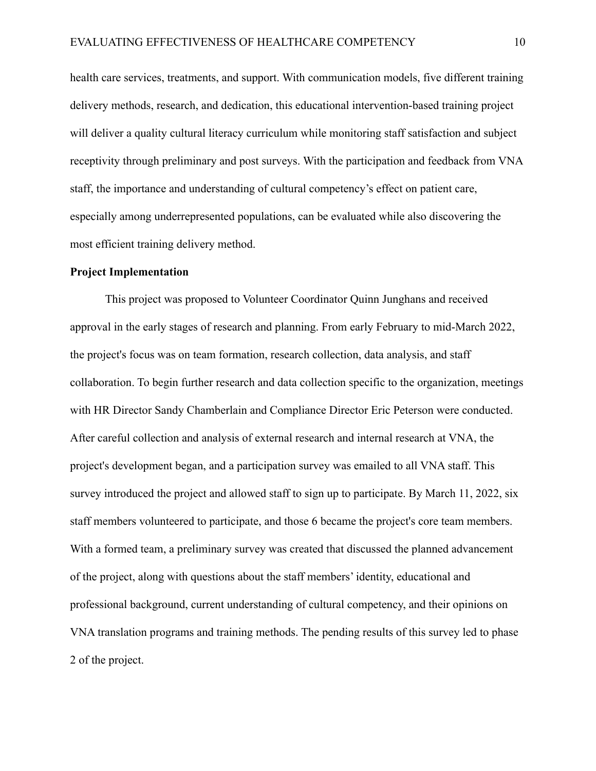health care services, treatments, and support. With communication models, five different training delivery methods, research, and dedication, this educational intervention-based training project will deliver a quality cultural literacy curriculum while monitoring staff satisfaction and subject receptivity through preliminary and post surveys. With the participation and feedback from VNA staff, the importance and understanding of cultural competency's effect on patient care, especially among underrepresented populations, can be evaluated while also discovering the most efficient training delivery method.

#### **Project Implementation**

This project was proposed to Volunteer Coordinator Quinn Junghans and received approval in the early stages of research and planning. From early February to mid-March 2022, the project's focus was on team formation, research collection, data analysis, and staff collaboration. To begin further research and data collection specific to the organization, meetings with HR Director Sandy Chamberlain and Compliance Director Eric Peterson were conducted. After careful collection and analysis of external research and internal research at VNA, the project's development began, and a participation survey was emailed to all VNA staff. This survey introduced the project and allowed staff to sign up to participate. By March 11, 2022, six staff members volunteered to participate, and those 6 became the project's core team members. With a formed team, a preliminary survey was created that discussed the planned advancement of the project, along with questions about the staff members' identity, educational and professional background, current understanding of cultural competency, and their opinions on VNA translation programs and training methods. The pending results of this survey led to phase 2 of the project.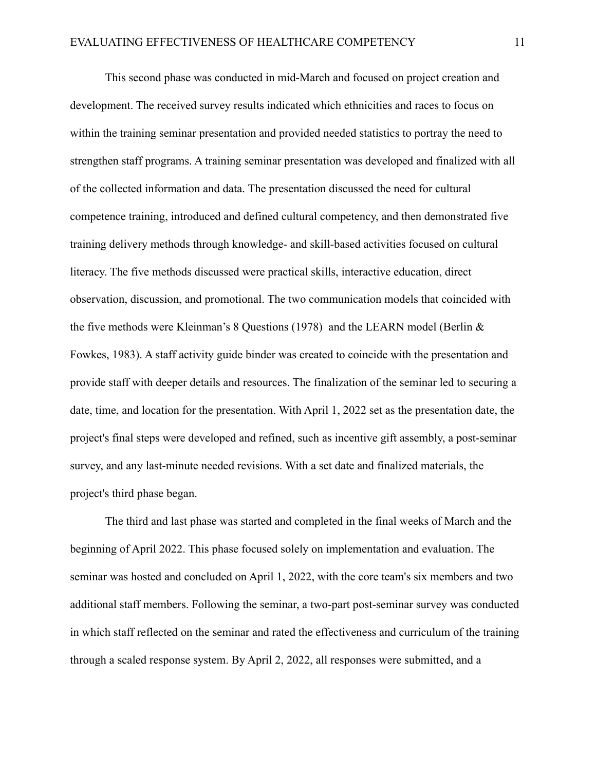This second phase was conducted in mid-March and focused on project creation and development. The received survey results indicated which ethnicities and races to focus on within the training seminar presentation and provided needed statistics to portray the need to strengthen staff programs. A training seminar presentation was developed and finalized with all of the collected information and data. The presentation discussed the need for cultural competence training, introduced and defined cultural competency, and then demonstrated five training delivery methods through knowledge- and skill-based activities focused on cultural literacy. The five methods discussed were practical skills, interactive education, direct observation, discussion, and promotional. The two communication models that coincided with the five methods were Kleinman's 8 Questions (1978) and the LEARN model (Berlin & Fowkes, 1983). A staff activity guide binder was created to coincide with the presentation and provide staff with deeper details and resources. The finalization of the seminar led to securing a date, time, and location for the presentation. With April 1, 2022 set as the presentation date, the project's final steps were developed and refined, such as incentive gift assembly, a post-seminar survey, and any last-minute needed revisions. With a set date and finalized materials, the project's third phase began.

The third and last phase was started and completed in the final weeks of March and the beginning of April 2022. This phase focused solely on implementation and evaluation. The seminar was hosted and concluded on April 1, 2022, with the core team's six members and two additional staff members. Following the seminar, a two-part post-seminar survey was conducted in which staff reflected on the seminar and rated the effectiveness and curriculum of the training through a scaled response system. By April 2, 2022, all responses were submitted, and a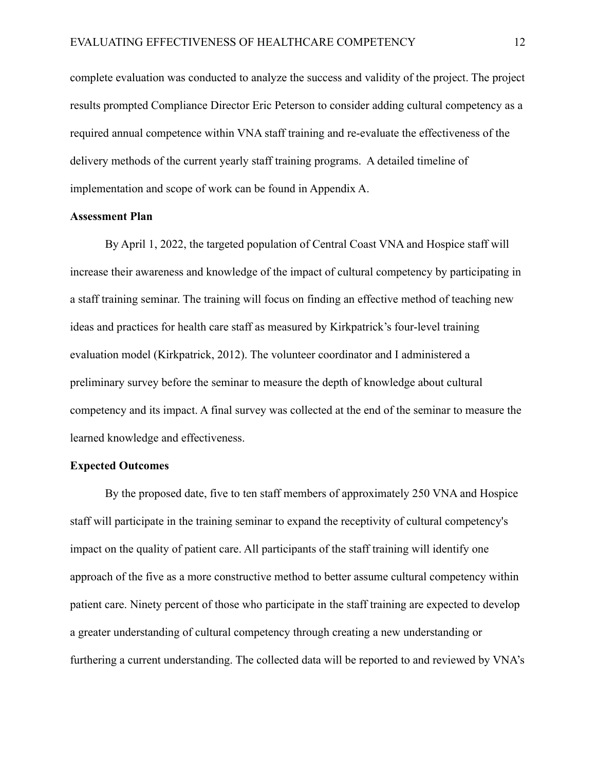complete evaluation was conducted to analyze the success and validity of the project. The project results prompted Compliance Director Eric Peterson to consider adding cultural competency as a required annual competence within VNA staff training and re-evaluate the effectiveness of the delivery methods of the current yearly staff training programs. A detailed timeline of implementation and scope of work can be found in Appendix A.

### **Assessment Plan**

By April 1, 2022, the targeted population of Central Coast VNA and Hospice staff will increase their awareness and knowledge of the impact of cultural competency by participating in a staff training seminar. The training will focus on finding an effective method of teaching new ideas and practices for health care staff as measured by Kirkpatrick's four-level training evaluation model (Kirkpatrick, 2012). The volunteer coordinator and I administered a preliminary survey before the seminar to measure the depth of knowledge about cultural competency and its impact. A final survey was collected at the end of the seminar to measure the learned knowledge and effectiveness.

#### **Expected Outcomes**

By the proposed date, five to ten staff members of approximately 250 VNA and Hospice staff will participate in the training seminar to expand the receptivity of cultural competency's impact on the quality of patient care. All participants of the staff training will identify one approach of the five as a more constructive method to better assume cultural competency within patient care. Ninety percent of those who participate in the staff training are expected to develop a greater understanding of cultural competency through creating a new understanding or furthering a current understanding. The collected data will be reported to and reviewed by VNA's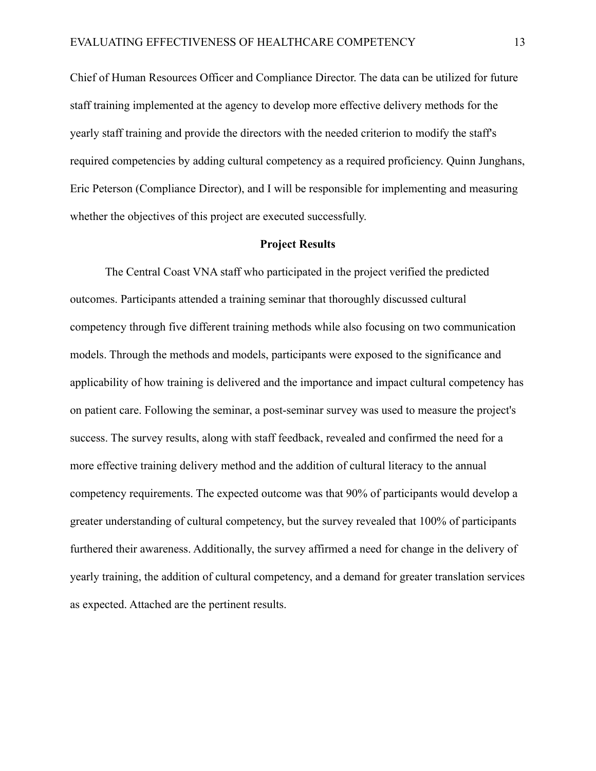Chief of Human Resources Officer and Compliance Director. The data can be utilized for future staff training implemented at the agency to develop more effective delivery methods for the yearly staff training and provide the directors with the needed criterion to modify the staff's required competencies by adding cultural competency as a required proficiency. Quinn Junghans, Eric Peterson (Compliance Director), and I will be responsible for implementing and measuring whether the objectives of this project are executed successfully.

#### **Project Results**

The Central Coast VNA staff who participated in the project verified the predicted outcomes. Participants attended a training seminar that thoroughly discussed cultural competency through five different training methods while also focusing on two communication models. Through the methods and models, participants were exposed to the significance and applicability of how training is delivered and the importance and impact cultural competency has on patient care. Following the seminar, a post-seminar survey was used to measure the project's success. The survey results, along with staff feedback, revealed and confirmed the need for a more effective training delivery method and the addition of cultural literacy to the annual competency requirements. The expected outcome was that 90% of participants would develop a greater understanding of cultural competency, but the survey revealed that 100% of participants furthered their awareness. Additionally, the survey affirmed a need for change in the delivery of yearly training, the addition of cultural competency, and a demand for greater translation services as expected. Attached are the pertinent results.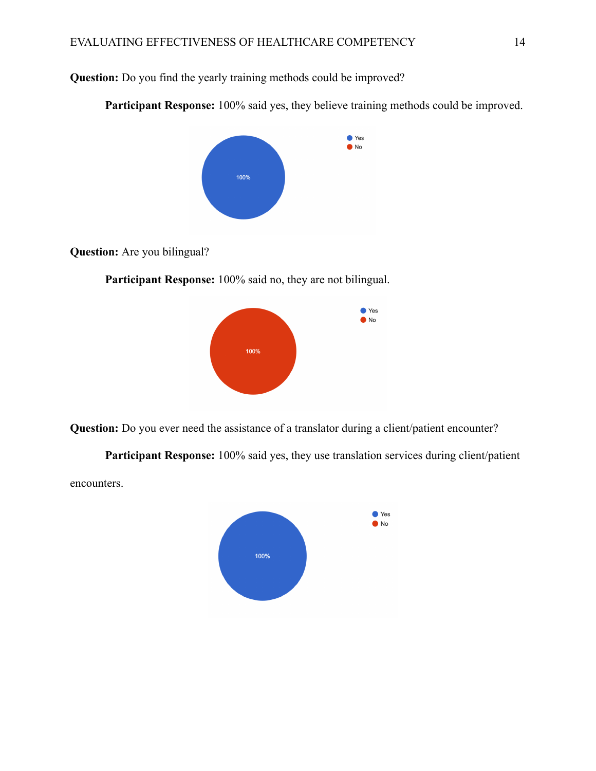**Question:** Do you find the yearly training methods could be improved?

**Participant Response:** 100% said yes, they believe training methods could be improved.



**Question:** Are you bilingual?

**Participant Response:** 100% said no, they are not bilingual.



**Question:** Do you ever need the assistance of a translator during a client/patient encounter?

**Participant Response:** 100% said yes, they use translation services during client/patient encounters.

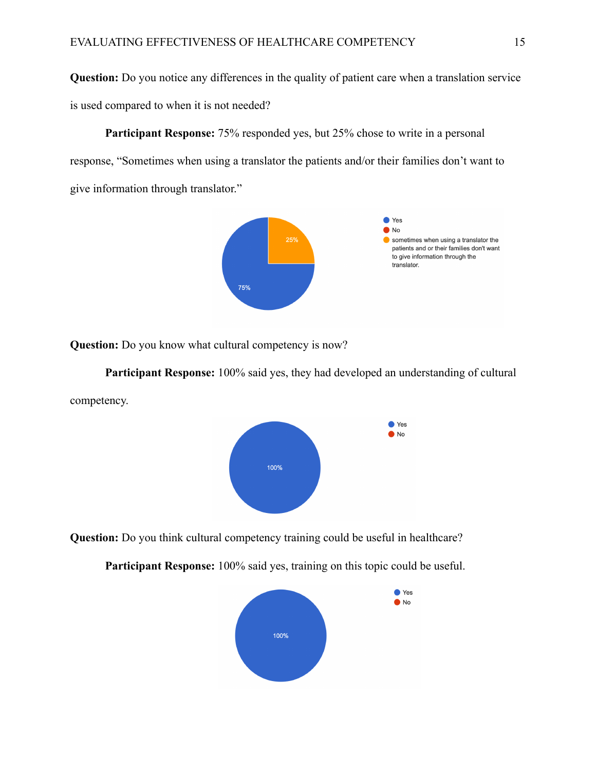**Question:** Do you notice any differences in the quality of patient care when a translation service is used compared to when it is not needed?

**Participant Response:** 75% responded yes, but 25% chose to write in a personal response, "Sometimes when using a translator the patients and/or their families don't want to give information through translator."



**Question:** Do you know what cultural competency is now?

**Participant Response:** 100% said yes, they had developed an understanding of cultural competency.



**Question:** Do you think cultural competency training could be useful in healthcare?



**Participant Response:** 100% said yes, training on this topic could be useful.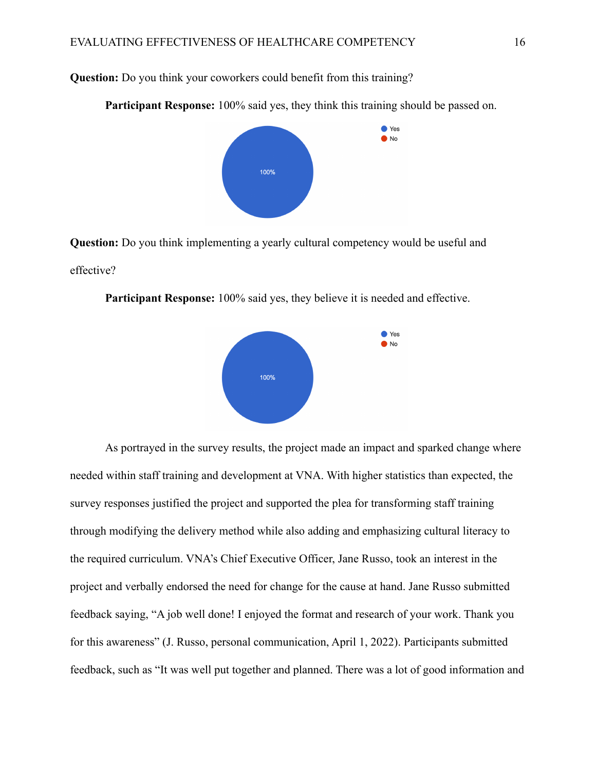**Question:** Do you think your coworkers could benefit from this training?

**Participant Response:** 100% said yes, they think this training should be passed on.



**Question:** Do you think implementing a yearly cultural competency would be useful and effective?



**Participant Response:** 100% said yes, they believe it is needed and effective.

As portrayed in the survey results, the project made an impact and sparked change where needed within staff training and development at VNA. With higher statistics than expected, the survey responses justified the project and supported the plea for transforming staff training through modifying the delivery method while also adding and emphasizing cultural literacy to the required curriculum. VNA's Chief Executive Officer, Jane Russo, took an interest in the project and verbally endorsed the need for change for the cause at hand. Jane Russo submitted feedback saying, "A job well done! I enjoyed the format and research of your work. Thank you for this awareness" (J. Russo, personal communication, April 1, 2022). Participants submitted feedback, such as "It was well put together and planned. There was a lot of good information and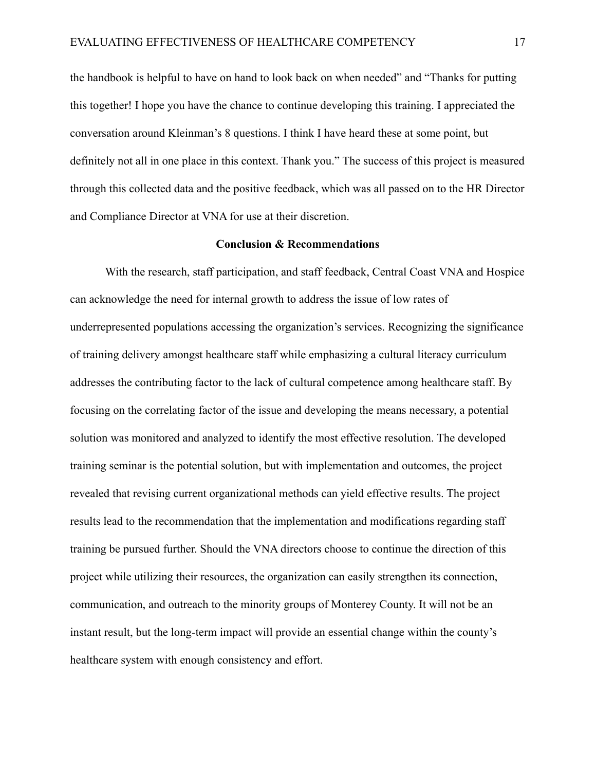the handbook is helpful to have on hand to look back on when needed" and "Thanks for putting this together! I hope you have the chance to continue developing this training. I appreciated the conversation around Kleinman's 8 questions. I think I have heard these at some point, but definitely not all in one place in this context. Thank you." The success of this project is measured through this collected data and the positive feedback, which was all passed on to the HR Director and Compliance Director at VNA for use at their discretion.

#### **Conclusion & Recommendations**

With the research, staff participation, and staff feedback, Central Coast VNA and Hospice can acknowledge the need for internal growth to address the issue of low rates of underrepresented populations accessing the organization's services. Recognizing the significance of training delivery amongst healthcare staff while emphasizing a cultural literacy curriculum addresses the contributing factor to the lack of cultural competence among healthcare staff. By focusing on the correlating factor of the issue and developing the means necessary, a potential solution was monitored and analyzed to identify the most effective resolution. The developed training seminar is the potential solution, but with implementation and outcomes, the project revealed that revising current organizational methods can yield effective results. The project results lead to the recommendation that the implementation and modifications regarding staff training be pursued further. Should the VNA directors choose to continue the direction of this project while utilizing their resources, the organization can easily strengthen its connection, communication, and outreach to the minority groups of Monterey County. It will not be an instant result, but the long-term impact will provide an essential change within the county's healthcare system with enough consistency and effort.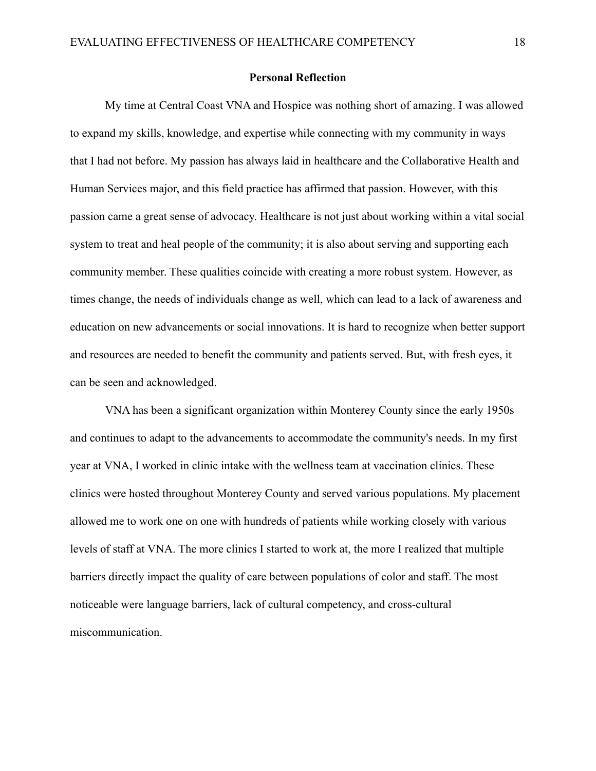#### **Personal Reflection**

My time at Central Coast VNA and Hospice was nothing short of amazing. I was allowed to expand my skills, knowledge, and expertise while connecting with my community in ways that I had not before. My passion has always laid in healthcare and the Collaborative Health and Human Services major, and this field practice has affirmed that passion. However, with this passion came a great sense of advocacy. Healthcare is not just about working within a vital social system to treat and heal people of the community; it is also about serving and supporting each community member. These qualities coincide with creating a more robust system. However, as times change, the needs of individuals change as well, which can lead to a lack of awareness and education on new advancements or social innovations. It is hard to recognize when better support and resources are needed to benefit the community and patients served. But, with fresh eyes, it can be seen and acknowledged.

VNA has been a significant organization within Monterey County since the early 1950s and continues to adapt to the advancements to accommodate the community's needs. In my first year at VNA, I worked in clinic intake with the wellness team at vaccination clinics. These clinics were hosted throughout Monterey County and served various populations. My placement allowed me to work one on one with hundreds of patients while working closely with various levels of staff at VNA. The more clinics I started to work at, the more I realized that multiple barriers directly impact the quality of care between populations of color and staff. The most noticeable were language barriers, lack of cultural competency, and cross-cultural miscommunication.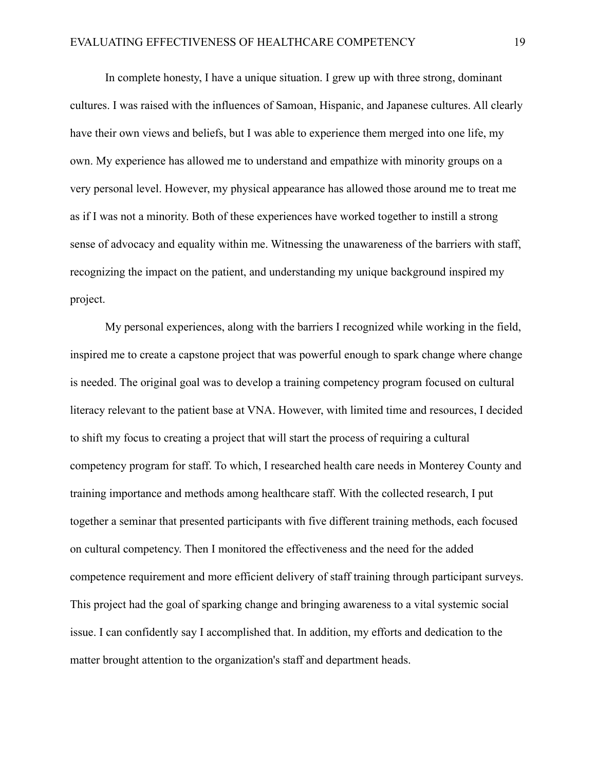In complete honesty, I have a unique situation. I grew up with three strong, dominant cultures. I was raised with the influences of Samoan, Hispanic, and Japanese cultures. All clearly have their own views and beliefs, but I was able to experience them merged into one life, my own. My experience has allowed me to understand and empathize with minority groups on a very personal level. However, my physical appearance has allowed those around me to treat me as if I was not a minority. Both of these experiences have worked together to instill a strong sense of advocacy and equality within me. Witnessing the unawareness of the barriers with staff, recognizing the impact on the patient, and understanding my unique background inspired my project.

My personal experiences, along with the barriers I recognized while working in the field, inspired me to create a capstone project that was powerful enough to spark change where change is needed. The original goal was to develop a training competency program focused on cultural literacy relevant to the patient base at VNA. However, with limited time and resources, I decided to shift my focus to creating a project that will start the process of requiring a cultural competency program for staff. To which, I researched health care needs in Monterey County and training importance and methods among healthcare staff. With the collected research, I put together a seminar that presented participants with five different training methods, each focused on cultural competency. Then I monitored the effectiveness and the need for the added competence requirement and more efficient delivery of staff training through participant surveys. This project had the goal of sparking change and bringing awareness to a vital systemic social issue. I can confidently say I accomplished that. In addition, my efforts and dedication to the matter brought attention to the organization's staff and department heads.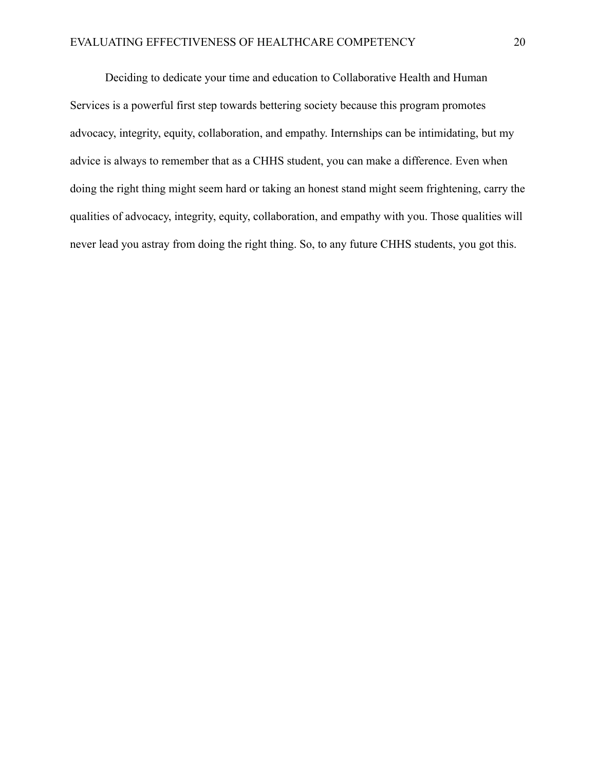Deciding to dedicate your time and education to Collaborative Health and Human Services is a powerful first step towards bettering society because this program promotes advocacy, integrity, equity, collaboration, and empathy. Internships can be intimidating, but my advice is always to remember that as a CHHS student, you can make a difference. Even when doing the right thing might seem hard or taking an honest stand might seem frightening, carry the qualities of advocacy, integrity, equity, collaboration, and empathy with you. Those qualities will never lead you astray from doing the right thing. So, to any future CHHS students, you got this.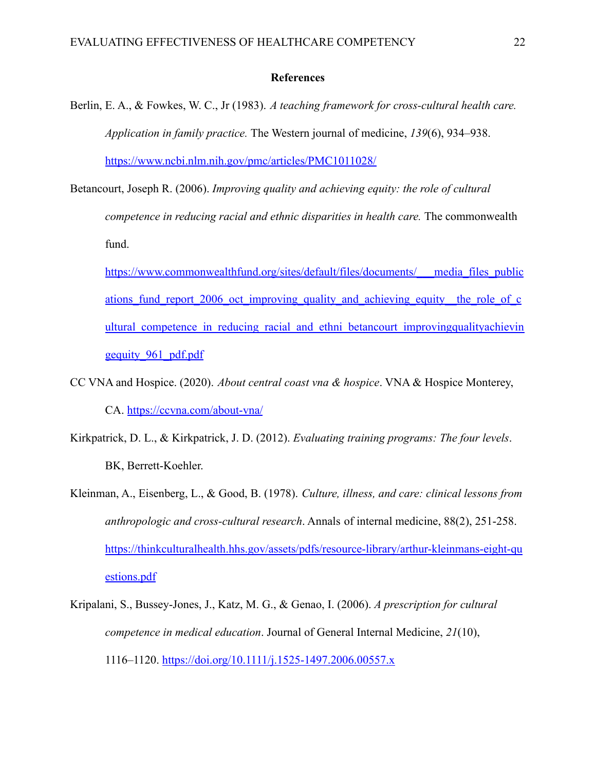#### **References**

- Berlin, E. A., & Fowkes, W. C., Jr (1983). *A teaching framework for cross-cultural health care. Application in family practice.* The Western journal of medicine, *139*(6), 934–938. <https://www.ncbi.nlm.nih.gov/pmc/articles/PMC1011028/>
- Betancourt, Joseph R. (2006). *Improving quality and achieving equity: the role of cultural competence in reducing racial and ethnic disparities in health care.* The commonwealth fund.
	- [https://www.commonwealthfund.org/sites/default/files/documents/\\_\\_\\_media\\_files\\_public](https://www.commonwealthfund.org/sites/default/files/documents/___media_files_publications_fund_report_2006_oct_improving_quality_and_achieving_equity__the_role_of_cultural_competence_in_reducing_racial_and_ethni_betancourt_improvingqualityachievingequity_961_pdf.pdf) ations fund report 2006 oct improving quality and achieving equity—the role of c ultural competence in reducing racial and ethni betancourt improvingqualityachievin [gequity\\_961\\_pdf.pdf](https://www.commonwealthfund.org/sites/default/files/documents/___media_files_publications_fund_report_2006_oct_improving_quality_and_achieving_equity__the_role_of_cultural_competence_in_reducing_racial_and_ethni_betancourt_improvingqualityachievingequity_961_pdf.pdf)
- CC VNA and Hospice. (2020). *About central coast vna & hospice*. VNA & Hospice Monterey, CA. <https://ccvna.com/about-vna/>
- Kirkpatrick, D. L., & Kirkpatrick, J. D. (2012). *Evaluating training programs: The four levels*. BK, Berrett-Koehler.
- Kleinman, A., Eisenberg, L., & Good, B. (1978). *Culture, illness, and care: clinical lessons from anthropologic and cross-cultural research*. Annals of internal medicine, 88(2), 251-258. [https://thinkculturalhealth.hhs.gov/assets/pdfs/resource-library/arthur-kleinmans-eight-qu](https://thinkculturalhealth.hhs.gov/assets/pdfs/resource-library/arthur-kleinmans-eight-questions.pdf) [estions.pdf](https://thinkculturalhealth.hhs.gov/assets/pdfs/resource-library/arthur-kleinmans-eight-questions.pdf)
- Kripalani, S., Bussey-Jones, J., Katz, M. G., & Genao, I. (2006). *A prescription for cultural competence in medical education*. Journal of General Internal Medicine, *21*(10), 1116–1120. <https://doi.org/10.1111/j.1525-1497.2006.00557.x>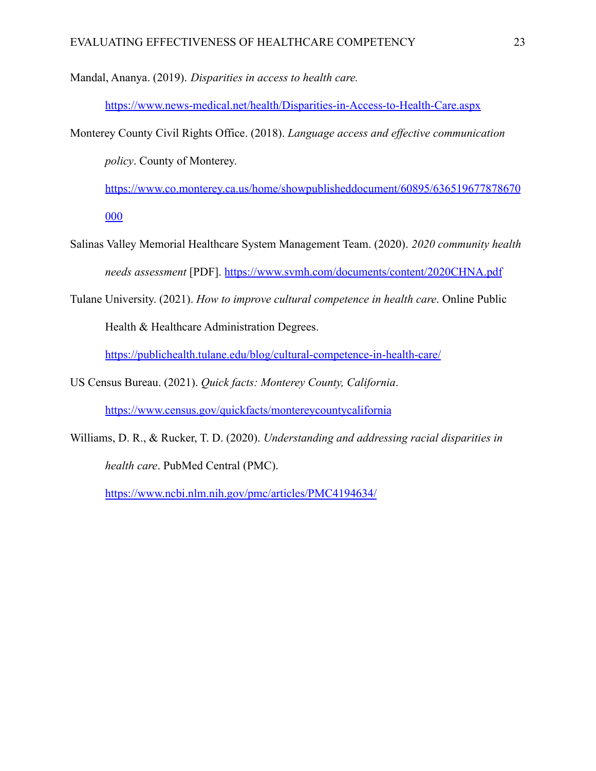Mandal, Ananya. (2019). *Disparities in access to health care.*

<https://www.news-medical.net/health/Disparities-in-Access-to-Health-Care.aspx>

Monterey County Civil Rights Office. (2018). *Language access and effective communication policy*. County of Monterey.

[https://www.co.monterey.ca.us/home/showpublisheddocument/60895/636519677878670](https://www.co.monterey.ca.us/home/showpublisheddocument/60895/636519677878670000) [000](https://www.co.monterey.ca.us/home/showpublisheddocument/60895/636519677878670000)

- Salinas Valley Memorial Healthcare System Management Team. (2020). *2020 community health needs assessment* [PDF]. <https://www.svmh.com/documents/content/2020CHNA.pdf>
- Tulane University. (2021). *How to improve cultural competence in health care*. Online Public Health & Healthcare Administration Degrees.

<https://publichealth.tulane.edu/blog/cultural-competence-in-health-care/>

US Census Bureau. (2021). *Quick facts: Monterey County, California*.

<https://www.census.gov/quickfacts/montereycountycalifornia>

Williams, D. R., & Rucker, T. D. (2020). *Understanding and addressing racial disparities in health care*. PubMed Central (PMC).

<https://www.ncbi.nlm.nih.gov/pmc/articles/PMC4194634/>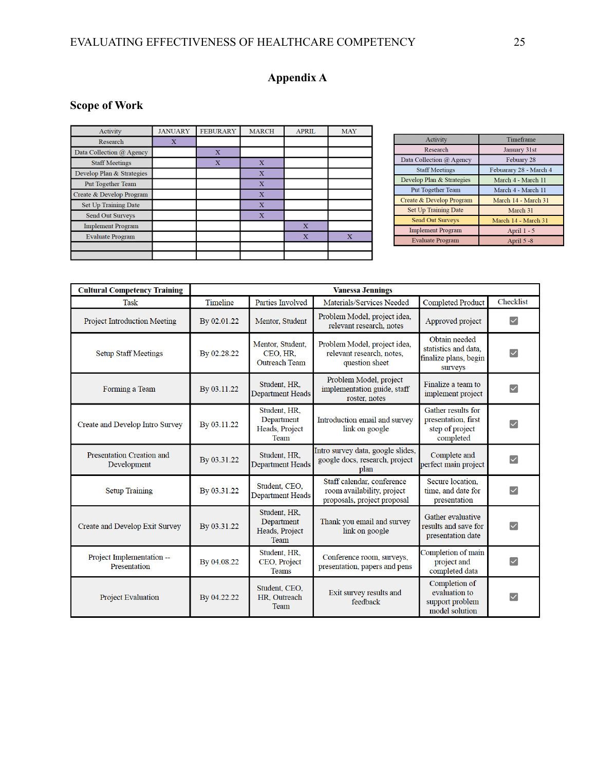# EVALUATING EFFECTIVENESS OF HEALTHCARE COMPETENCY 25

# **Appendix A**

# **Scope of Work**

| Activity                  | <b>JANUARY</b> | <b>FEBURARY</b>         | <b>MARCH</b>            | <b>APRIL</b>   | <b>MAY</b>     |
|---------------------------|----------------|-------------------------|-------------------------|----------------|----------------|
| Research                  | x              |                         |                         |                |                |
| Data Collection @ Agency  |                | $\mathbf X$             |                         |                |                |
| <b>Staff Meetings</b>     |                | $\overline{\mathbf{X}}$ | $\mathbf X$             |                |                |
| Develop Plan & Strategies |                |                         | $\overline{\mathbf{X}}$ |                |                |
| Put Together Team         |                |                         | $\overline{X}$          |                |                |
| Create & Develop Program  |                |                         | $\overline{\textbf{X}}$ |                |                |
| Set Up Training Date      |                |                         | $\overline{\mathbf{X}}$ |                |                |
| Send Out Surveys          |                |                         | $\overline{X}$          |                |                |
| <b>Implement Program</b>  |                |                         |                         | $\overline{X}$ |                |
| <b>Evaluate Program</b>   |                |                         |                         | $\mathbf X$    | $\overline{X}$ |
|                           |                |                         |                         |                |                |
|                           |                |                         |                         |                |                |

| Activity                    | Timeframe              |  |  |
|-----------------------------|------------------------|--|--|
| Research                    | January 31st           |  |  |
| Data Collection @ Agency    | Febuary 28             |  |  |
| <b>Staff Meetings</b>       | Febuarary 28 - March 4 |  |  |
| Develop Plan & Strategies   | March 4 - March 11     |  |  |
| <b>Put Together Team</b>    | March 4 - March 11     |  |  |
| Create & Develop Program    | March 14 - March 31    |  |  |
| <b>Set Up Training Date</b> | March 31               |  |  |
| <b>Send Out Surveys</b>     | March 14 - March 31    |  |  |
| <b>Implement Program</b>    | April 1 - 5            |  |  |
| <b>Evaluate Program</b>     | April 5 -8             |  |  |

| <b>Cultural Competency Training</b>       | <b>Vanessa Jennings</b> |                                                      |                                                                                         |                                                                           |                         |  |  |
|-------------------------------------------|-------------------------|------------------------------------------------------|-----------------------------------------------------------------------------------------|---------------------------------------------------------------------------|-------------------------|--|--|
| <b>Task</b>                               | <b>Timeline</b>         | Parties Involved                                     | Materials/Services Needed                                                               | <b>Completed Product</b>                                                  | Checklist               |  |  |
| <b>Project Introduction Meeting</b>       | By 02.01.22             | Mentor, Student                                      | Problem Model, project idea,<br>relevant research, notes                                | Approved project                                                          | $\vert\!\vert\!\vert$   |  |  |
| <b>Setup Staff Meetings</b>               | By 02.28.22             | Mentor, Student,<br>CEO, HR.<br><b>Outreach Team</b> | Problem Model, project idea,<br>relevant research, notes,<br>question sheet             | Obtain needed<br>statistics and data,<br>finalize plans, begin<br>surveys | ∨                       |  |  |
| Forming a Team                            | By 03.11.22             | Student, HR.<br><b>Department Heads</b>              | Problem Model, project<br>implementation guide, staff<br>roster, notes                  | Finalize a team to<br>implement project                                   | $\vert\downarrow\vert$  |  |  |
| Create and Develop Intro Survey           | By 03.11.22             | Student, HR.<br>Department<br>Heads, Project<br>Team | Introduction email and survey<br>link on google                                         | Gather results for<br>presentation, first<br>step of project<br>completed | $\checkmark$            |  |  |
| Presentation Creation and<br>Development  | By 03.31.22             | Student, HR,<br>Department Heads                     | Intro survey data, google slides,<br>google docs, research, project<br>plan             | Complete and<br>perfect main project                                      | $\vert\!\vert\!\vert$   |  |  |
| <b>Setup Training</b>                     | By 03.31.22             | Student, CEO,<br><b>Department Heads</b>             | Staff calendar, conference<br>room availability, project<br>proposals, project proposal | Secure location.<br>time, and date for<br>presentation                    | $\overline{\checkmark}$ |  |  |
| Create and Develop Exit Survey            | By 03.31.22             | Student, HR.<br>Department<br>Heads, Project<br>Team | Thank you email and survey<br>link on google                                            | Gather evaluative<br>results and save for<br>presentation date            | $\overline{\checkmark}$ |  |  |
| Project Implementation --<br>Presentation | By 04.08.22             | Student, HR.<br>CEO, Project<br><b>Teams</b>         | Conference room, surveys,<br>presentation, papers and pens                              | Completion of main<br>project and<br>completed data                       | $\overline{\vee}$       |  |  |
| <b>Project Evaluation</b>                 | By 04.22.22             | Student, CEO,<br>HR. Outreach<br>Team                | Exit survey results and<br>feedback                                                     | Completion of<br>evaluation to<br>support problem<br>model solution       | ∨                       |  |  |